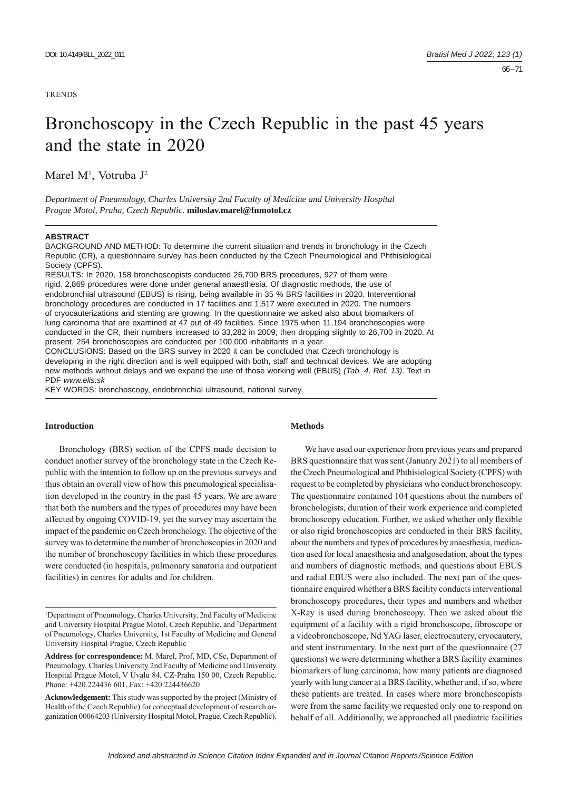**TRENDS** 

# Bronchoscopy in the Czech Republic in the past 45 years and the state in 2020

Marel M<sup>1</sup>, Votruba J<sup>2</sup>

*Department of Pneumology, Charles University 2nd Faculty of Medicine and University Hospital Prague Motol, Praha, Czech Republic.* **miloslav.marel@fnmotol.cz**

#### **ABSTRACT**

BACKGROUND AND METHOD: To determine the current situation and trends in bronchology in the Czech Republic (CR), a questionnaire survey has been conducted by the Czech Pneumological and Phthisiological Society (CPFS).

RESULTS: In 2020, 158 bronchoscopists conducted 26,700 BRS procedures, 927 of them were rigid. 2,869 procedures were done under general anaesthesia. Of diagnostic methods, the use of endobronchial ultrasound (EBUS) is rising, being available in 35 % BRS facilities in 2020. Interventional bronchology procedures are conducted in 17 facilities and 1,517 were executed in 2020. The numbers of cryocauterizations and stenting are growing. In the questionnaire we asked also about biomarkers of lung carcinoma that are examined at 47 out of 49 facilities. Since 1975 when 11,194 bronchoscopies were conducted in the CR, their numbers increased to 33,282 in 2009, then dropping slightly to 26,700 in 2020. At present, 254 bronchoscopies are conducted per 100,000 inhabitants in a year. CONCLUSIONS: Based on the BRS survey in 2020 it can be concluded that Czech bronchology is

developing in the right direction and is well equipped with both, staff and technical devices. We are adopting new methods without delays and we expand the use of those working well (EBUS) *(Tab. 4, Ref. 13)*. Text in PDF *www.elis.sk*

KEY WORDS: bronchoscopy, endobronchial ultrasound, national survey.

# **Introduction**

Bronchology (BRS) section of the CPFS made decision to conduct another survey of the bronchology state in the Czech Republic with the intention to follow up on the previous surveys and thus obtain an overall view of how this pneumological specialisation developed in the country in the past 45 years. We are aware that both the numbers and the types of procedures may have been affected by ongoing COVID-19, yet the survey may ascertain the impact of the pandemic on Czech bronchology. The objective of the survey was to determine the number of bronchoscopies in 2020 and the number of bronchoscopy facilities in which these procedures were conducted (in hospitals, pulmonary sanatoria and outpatient facilities) in centres for adults and for children.

# **Methods**

We have used our experience from previous years and prepared BRS questionnaire that was sent (January 2021) to all members of the Czech Pneumological and Phthisiological Society (CPFS) with request to be completed by physicians who conduct bronchoscopy. The questionnaire contained 104 questions about the numbers of bronchologists, duration of their work experience and completed bronchoscopy education. Further, we asked whether only flexible or also rigid bronchoscopies are conducted in their BRS facility, about the numbers and types of procedures by anaesthesia, medication used for local anaesthesia and analgosedation, about the types and numbers of diagnostic methods, and questions about EBUS and radial EBUS were also included. The next part of the questionnaire enquired whether a BRS facility conducts interventional bronchoscopy procedures, their types and numbers and whether X-Ray is used during bronchoscopy. Then we asked about the equipment of a facility with a rigid bronchoscope, fibroscope or a videobronchoscope, Nd YAG laser, electrocautery, cryocautery, and stent instrumentary. In the next part of the questionnaire (27 questions) we were determining whether a BRS facility examines biomarkers of lung carcinoma, how many patients are diagnosed yearly with lung cancer at a BRS facility, whether and, if so, where these patients are treated. In cases where more bronchoscopists were from the same facility we requested only one to respond on behalf of all. Additionally, we approached all paediatric facilities

<sup>1</sup> Department of Pneumology, Charles University, 2nd Faculty of Medicine and University Hospital Prague Motol, Czech Republic, and 2 Department of Pneumology, Charles University, 1st Faculty of Medicine and General University Hospital Prague, Czech Republic

**Address for correspondence:** M. Marel, Prof, MD, CSc, Department of Pneumology, Charles University 2nd Faculty of Medicine and University Hospital Prague Motol, V Úvalu 84, CZ-Praha 150 00, Czech Republic. Phone: +420.224436 601, Fax: +420.224436620

**Acknowledgement:** This study was supported by the project (Ministry of Health of the Czech Republic) for conceptual development of research organization 00064203 (University Hospital Motol, Prague, Czech Republic).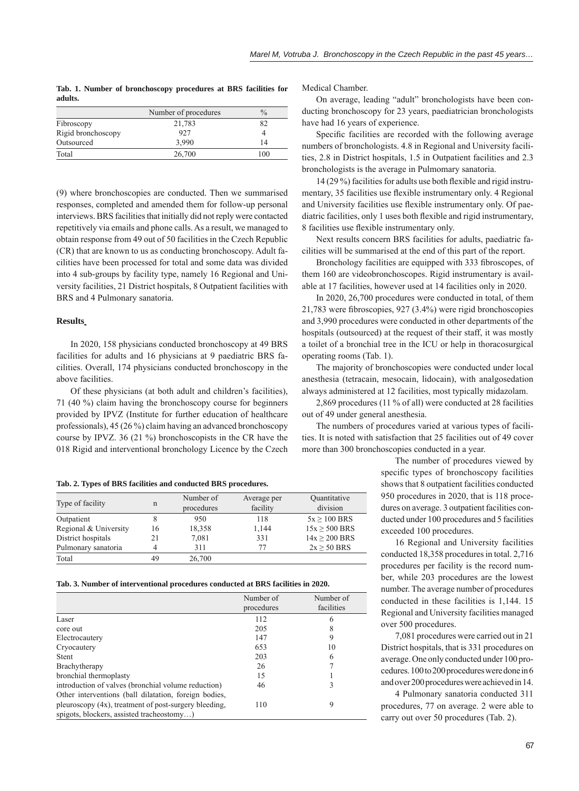**Tab. 1. Number of bronchoscopy procedures at BRS facilities for adults.**

|                    | Number of procedures | $\frac{0}{0}$ |
|--------------------|----------------------|---------------|
| Fibroscopy         | 21,783               | 82            |
| Rigid bronchoscopy | 927                  |               |
| Outsourced         | 3.990                | 14            |
| Total              | 26,700               | 100           |

(9) where bronchoscopies are conducted. Then we summarised responses, completed and amended them for follow-up personal interviews. BRS facilities that initially did not reply were contacted repetitively via emails and phone calls. As a result, we managed to obtain response from 49 out of 50 facilities in the Czech Republic (CR) that are known to us as conducting bronchoscopy. Adult facilities have been processed for total and some data was divided into 4 sub-groups by facility type, namely 16 Regional and University facilities, 21 District hospitals, 8 Outpatient facilities with BRS and 4 Pulmonary sanatoria.

## **Results**

In 2020, 158 physicians conducted bronchoscopy at 49 BRS facilities for adults and 16 physicians at 9 paediatric BRS facilities. Overall, 174 physicians conducted bronchoscopy in the above facilities.

Of these physicians (at both adult and children's facilities), 71 (40 %) claim having the bronchoscopy course for beginners provided by IPVZ (Institute for further education of healthcare professionals), 45 (26 %) claim having an advanced bronchoscopy course by IPVZ. 36 (21 %) bronchoscopists in the CR have the 018 Rigid and interventional bronchology Licence by the Czech

**Tab. 2. Types of BRS facilities and conducted BRS procedures.**

| Type of facility      | $\mathbf n$ | Number of<br>procedures | Average per<br>facility | Quantitative<br>division |
|-----------------------|-------------|-------------------------|-------------------------|--------------------------|
| Outpatient            |             | 950                     | 118                     | $5x > 100$ BRS           |
| Regional & University | 16          | 18,358                  | 1,144                   | $15x > 500$ BRS          |
| District hospitals    | 21          | 7,081                   | 331                     | $14x > 200$ BRS          |
| Pulmonary sanatoria   | 4           | 311                     | 77                      | $2x \ge 50$ BRS          |
| Total                 | 49          | 26,700                  |                         |                          |

#### **Tab. 3. Number of interventional procedures conducted at BRS facilities in 2020.**

|                                                       | Number of  | Number of  |
|-------------------------------------------------------|------------|------------|
|                                                       | procedures | facilities |
| Laser                                                 | 112        | 6          |
| core out                                              | 205        | 8          |
| Electrocautery                                        | 147        | 9          |
| Cryocautery                                           | 653        | 10         |
| <b>Stent</b>                                          | 203        | 6          |
| Brachytherapy                                         | 26         |            |
| bronchial thermoplasty                                | 15         |            |
| introduction of valves (bronchial volume reduction)   | 46         |            |
| Other interventions (ball dilatation, foreign bodies, |            |            |
| pleuroscopy (4x), treatment of post-surgery bleeding, | 110        | 9          |
| spigots, blockers, assisted tracheostomy)             |            |            |

Medical Chamber.

On average, leading "adult" bronchologists have been conducting bronchoscopy for 23 years, paediatrician bronchologists have had 16 years of experience.

Specific facilities are recorded with the following average numbers of bronchologists. 4.8 in Regional and University facilities, 2.8 in District hospitals, 1.5 in Outpatient facilities and 2.3 bronchologists is the average in Pulmomary sanatoria.

 $14(29\%)$  facilities for adults use both flexible and rigid instrumentary, 35 facilities use flexible instrumentary only. 4 Regional and University facilities use flexible instrumentary only. Of paediatric facilities, only 1 uses both flexible and rigid instrumentary, 8 facilities use flexible instrumentary only.

Next results concern BRS facilities for adults, paediatric facilities will be summarised at the end of this part of the report.

Bronchology facilities are equipped with 333 fibroscopes, of them 160 are videobronchoscopes. Rigid instrumentary is available at 17 facilities, however used at 14 facilities only in 2020.

In 2020, 26,700 procedures were conducted in total, of them  $21,783$  were fibroscopies,  $927$   $(3.4\%)$  were rigid bronchoscopies and 3,990 procedures were conducted in other departments of the hospitals (outsourced) at the request of their staff, it was mostly a toilet of a bronchial tree in the ICU or help in thoracosurgical operating rooms (Tab. 1).

The majority of bronchoscopies were conducted under local anesthesia (tetracain, mesocain, lidocain), with analgosedation always administered at 12 facilities, most typically midazolam.

2,869 procedures (11 % of all) were conducted at 28 facilities out of 49 under general anesthesia.

The numbers of procedures varied at various types of facilities. It is noted with satisfaction that 25 facilities out of 49 cover more than 300 bronchoscopies conducted in a year.

> The number of procedures viewed by specific types of bronchoscopy facilities shows that 8 outpatient facilities conducted 950 procedures in 2020, that is 118 procedures on average. 3 outpatient facilities conducted under 100 procedures and 5 facilities exceeded 100 procedures.

> 16 Regional and University facilities conducted 18,358 procedures in total. 2,716 procedures per facility is the record number, while 203 procedures are the lowest number. The average number of procedures conducted in these facilities is 1,144. 15 Regional and University facilities managed over 500 procedures.

> 7,081 procedures were carried out in 21 District hospitals, that is 331 procedures on average. One only conducted under 100 procedures. 100 to 200 procedures were done in 6 and over 200 procedures were achieved in 14.

> 4 Pulmonary sanatoria conducted 311 procedures, 77 on average. 2 were able to carry out over 50 procedures (Tab. 2).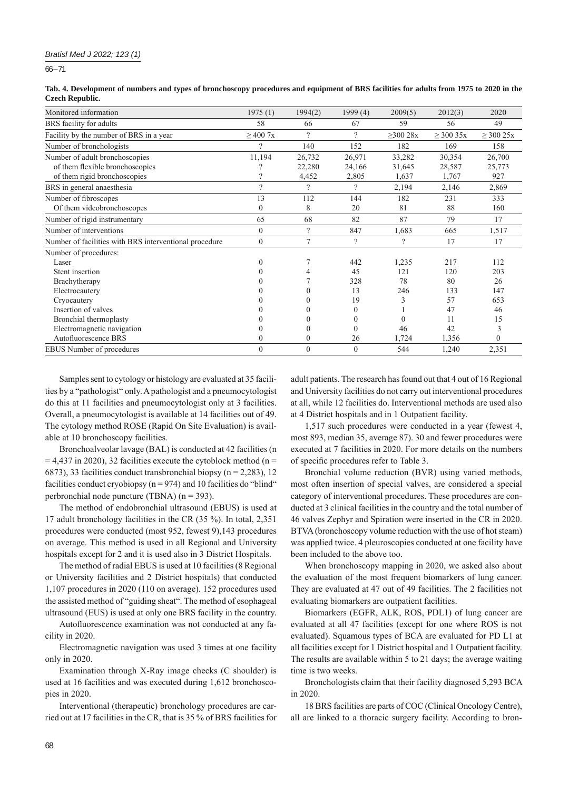$66 - 71$ 

| Tab. 4. Development of numbers and types of bronchoscopy procedures and equipment of BRS facilities for adults from 1975 to 2020 in the |  |  |
|-----------------------------------------------------------------------------------------------------------------------------------------|--|--|
| <b>Czech Republic.</b>                                                                                                                  |  |  |

| Monitored information                                  | 1975(1)       | 1994(2)       | 1999(4)       | 2009(5)        | 2012(3)        | 2020           |
|--------------------------------------------------------|---------------|---------------|---------------|----------------|----------------|----------------|
| BRS facility for adults                                | 58            | 66            | 67            | 59             | 56             | 49             |
| Facility by the number of BRS in a year                | $\geq$ 400 7x | $\gamma$      | $\gamma$      | $\geq$ 300 28x | $\geq$ 300 35x | $\geq$ 300 25x |
| Number of bronchologists                               | 2             | 140           | 152           | 182            | 169            | 158            |
| Number of adult bronchoscopies                         | 11,194        | 26,732        | 26,971        | 33,282         | 30,354         | 26,700         |
| of them flexible bronchoscopies                        |               | 22,280        | 24,166        | 31,645         | 28,587         | 25,773         |
| of them rigid bronchoscopies                           |               | 4,452         | 2,805         | 1,637          | 1,767          | 927            |
| BRS in general anaesthesia                             | $\gamma$      | $\mathcal{D}$ | $\mathcal{P}$ | 2,194          | 2,146          | 2,869          |
| Number of fibroscopes                                  | 13            | 112           | 144           | 182            | 231            | 333            |
| Of them videobronchoscopes                             | 0             | 8             | 20            | 81             | 88             | 160            |
| Number of rigid instrumentary                          | 65            | 68            | 82            | 87             | 79             | 17             |
| Number of interventions                                | $\mathbf{0}$  | $\gamma$      | 847           | 1,683          | 665            | 1,517          |
| Number of facilities with BRS interventional procedure | $\mathbf{0}$  | 7             | $\gamma$      | $\gamma$       | 17             | 17             |
| Number of procedures:                                  |               |               |               |                |                |                |
| Laser                                                  |               |               | 442           | 1,235          | 217            | 112            |
| Stent insertion                                        |               |               | 45            | 121            | 120            | 203            |
| Brachytherapy                                          |               |               | 328           | 78             | 80             | 26             |
| Electrocautery                                         |               |               | 13            | 246            | 133            | 147            |
| Cryocautery                                            |               |               | 19            | 3              | 57             | 653            |
| Insertion of valves                                    |               |               | $\Omega$      |                | 47             | 46             |
| Bronchial thermoplasty                                 |               |               | $\Omega$      | $\theta$       | 11             | 15             |
| Electromagnetic navigation                             |               |               | $\Omega$      | 46             | 42             |                |
| Autofluorescence BRS                                   |               | 0             | 26            | 1,724          | 1,356          |                |
| <b>EBUS</b> Number of procedures                       | $\theta$      | $\mathbf{0}$  | $\mathbf{0}$  | 544            | 1,240          | 2,351          |

Samples sent to cytology or histology are evaluated at 35 facilities by a "pathologist" only. A pathologist and a pneumocytologist do this at 11 facilities and pneumocytologist only at 3 facilities. Overall, a pneumocytologist is available at 14 facilities out of 49. The cytology method ROSE (Rapid On Site Evaluation) is available at 10 bronchoscopy facilities.

Bronchoalveolar lavage (BAL) is conducted at 42 facilities (n  $= 4,437$  in 2020), 32 facilities execute the cytoblock method (n = 6873), 33 facilities conduct transbronchial biopsy ( $n = 2,283$ ), 12 facilities conduct cryobiopsy ( $n = 974$ ) and 10 facilities do "blind" perbronchial node puncture (TBNA) (n = 393).

The method of endobronchial ultrasound (EBUS) is used at 17 adult bronchology facilities in the CR (35 %). In total, 2,351 procedures were conducted (most 952, fewest 9),143 procedures on average. This method is used in all Regional and University hospitals except for 2 and it is used also in 3 District Hospitals.

The method of radial EBUS is used at 10 facilities (8 Regional or University facilities and 2 District hospitals) that conducted 1,107 procedures in 2020 (110 on average). 152 procedures used the assisted method of "guiding sheat". The method of esophageal ultrasound (EUS) is used at only one BRS facility in the country.

Autofluorescence examination was not conducted at any facility in 2020.

Electromagnetic navigation was used 3 times at one facility only in 2020.

Examination through X-Ray image checks (C shoulder) is used at 16 facilities and was executed during 1,612 bronchoscopies in 2020.

Interventional (therapeutic) bronchology procedures are carried out at 17 facilities in the CR, that is 35 % of BRS facilities for

adult patients. The research has found out that 4 out of 16 Regional and University facilities do not carry out interventional procedures at all, while 12 facilities do. Interventional methods are used also at 4 District hospitals and in 1 Outpatient facility.

1,517 such procedures were conducted in a year (fewest 4, most 893, median 35, average 87). 30 and fewer procedures were executed at 7 facilities in 2020. For more details on the numbers of specific procedures refer to Table 3.

Bronchial volume reduction (BVR) using varied methods, most often insertion of special valves, are considered a special category of interventional procedures. These procedures are conducted at 3 clinical facilities in the country and the total number of 46 valves Zephyr and Spiration were inserted in the CR in 2020. BTVA (bronchoscopy volume reduction with the use of hot steam) was applied twice. 4 pleuroscopies conducted at one facility have been included to the above too.

When bronchoscopy mapping in 2020, we asked also about the evaluation of the most frequent biomarkers of lung cancer. They are evaluated at 47 out of 49 facilities. The 2 facilities not evaluating biomarkers are outpatient facilities.

Biomarkers (EGFR, ALK, ROS, PDL1) of lung cancer are evaluated at all 47 facilities (except for one where ROS is not evaluated). Squamous types of BCA are evaluated for PD L1 at all facilities except for 1 District hospital and 1 Outpatient facility. The results are available within 5 to 21 days; the average waiting time is two weeks.

Bronchologists claim that their facility diagnosed 5,293 BCA in 2020.

18 BRS facilities are parts of COC (Clinical Oncology Centre), all are linked to a thoracic surgery facility. According to bron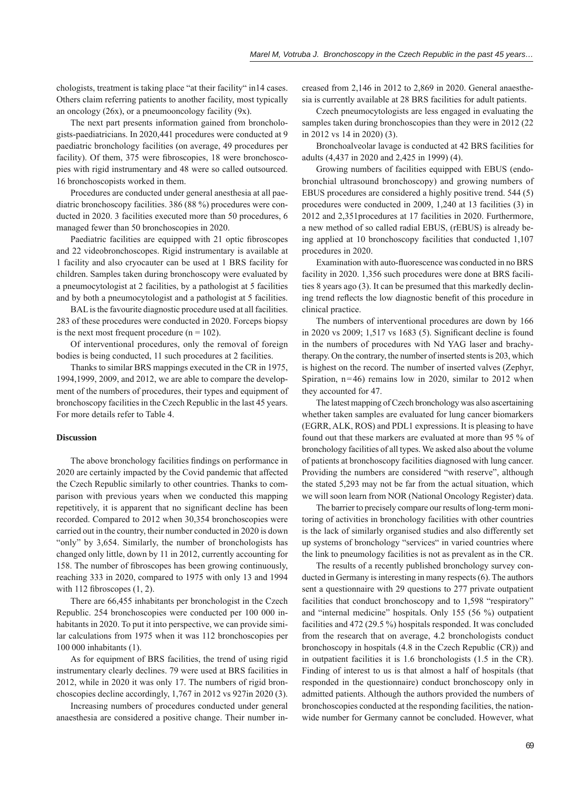chologists, treatment is taking place "at their facility" in14 cases. Others claim referring patients to another facility, most typically an oncology (26x), or a pneumooncology facility (9x).

The next part presents information gained from bronchologists-paediatricians. In 2020,441 procedures were conducted at 9 paediatric bronchology facilities (on average, 49 procedures per facility). Of them, 375 were fibroscopies, 18 were bronchoscopies with rigid instrumentary and 48 were so called outsourced. 16 bronchoscopists worked in them.

Procedures are conducted under general anesthesia at all paediatric bronchoscopy facilities. 386 (88 %) procedures were conducted in 2020. 3 facilities executed more than 50 procedures, 6 managed fewer than 50 bronchoscopies in 2020.

Paediatric facilities are equipped with 21 optic fibroscopes and 22 videobronchoscopes. Rigid instrumentary is available at 1 facility and also cryocauter can be used at 1 BRS facility for children. Samples taken during bronchoscopy were evaluated by a pneumocytologist at 2 facilities, by a pathologist at 5 facilities and by both a pneumocytologist and a pathologist at 5 facilities.

BAL is the favourite diagnostic procedure used at all facilities. 283 of these procedures were conducted in 2020. Forceps biopsy is the next most frequent procedure  $(n = 102)$ .

Of interventional procedures, only the removal of foreign bodies is being conducted, 11 such procedures at 2 facilities.

Thanks to similar BRS mappings executed in the CR in 1975, 1994,1999, 2009, and 2012, we are able to compare the development of the numbers of procedures, their types and equipment of bronchoscopy facilities in the Czech Republic in the last 45 years. For more details refer to Table 4.

# **Discussion**

The above bronchology facilities findings on performance in 2020 are certainly impacted by the Covid pandemic that affected the Czech Republic similarly to other countries. Thanks to comparison with previous years when we conducted this mapping repetitively, it is apparent that no significant decline has been recorded. Compared to 2012 when 30,354 bronchoscopies were carried out in the country, their number conducted in 2020 is down "only" by 3,654. Similarly, the number of bronchologists has changed only little, down by 11 in 2012, currently accounting for 158. The number of fibroscopes has been growing continuously, reaching 333 in 2020, compared to 1975 with only 13 and 1994 with 112 fibroscopes  $(1, 2)$ .

There are 66,455 inhabitants per bronchologist in the Czech Republic. 254 bronchoscopies were conducted per 100 000 inhabitants in 2020. To put it into perspective, we can provide similar calculations from 1975 when it was 112 bronchoscopies per 100 000 inhabitants (1).

As for equipment of BRS facilities, the trend of using rigid instrumentary clearly declines. 79 were used at BRS facilities in 2012, while in 2020 it was only 17. The numbers of rigid bronchoscopies decline accordingly, 1,767 in 2012 vs 927in 2020 (3).

Increasing numbers of procedures conducted under general anaesthesia are considered a positive change. Their number increased from 2,146 in 2012 to 2,869 in 2020. General anaesthesia is currently available at 28 BRS facilities for adult patients.

Czech pneumocytologists are less engaged in evaluating the samples taken during bronchoscopies than they were in 2012 (22) in 2012 vs 14 in 2020) (3).

Bronchoalveolar lavage is conducted at 42 BRS facilities for adults (4,437 in 2020 and 2,425 in 1999) (4).

Growing numbers of facilities equipped with EBUS (endobronchial ultrasound bronchoscopy) and growing numbers of EBUS procedures are considered a highly positive trend. 544 (5) procedures were conducted in 2009, 1,240 at 13 facilities (3) in 2012 and 2,351procedures at 17 facilities in 2020. Furthermore, a new method of so called radial EBUS, (rEBUS) is already being applied at 10 bronchoscopy facilities that conducted 1,107 procedures in 2020.

Examination with auto-fluorescence was conducted in no BRS facility in 2020. 1,356 such procedures were done at BRS facilities 8 years ago (3). It can be presumed that this markedly declining trend reflects the low diagnostic benefit of this procedure in clinical practice.

The numbers of interventional procedures are down by 166 in 2020 vs  $2009$ ;  $1,517$  vs  $1683$  (5). Significant decline is found in the numbers of procedures with Nd YAG laser and brachytherapy. On the contrary, the number of inserted stents is 203, which is highest on the record. The number of inserted valves (Zephyr, Spiration,  $n=46$ ) remains low in 2020, similar to 2012 when they accounted for 47.

The latest mapping of Czech bronchology was also ascertaining whether taken samples are evaluated for lung cancer biomarkers (EGRR, ALK, ROS) and PDL1 expressions. It is pleasing to have found out that these markers are evaluated at more than 95 % of bronchology facilities of all types. We asked also about the volume of patients at bronchoscopy facilities diagnosed with lung cancer. Providing the numbers are considered "with reserve", although the stated 5,293 may not be far from the actual situation, which we will soon learn from NOR (National Oncology Register) data.

The barrier to precisely compare our results of long-term monitoring of activities in bronchology facilities with other countries is the lack of similarly organised studies and also differently set up systems of bronchology "services" in varied countries where the link to pneumology facilities is not as prevalent as in the CR.

The results of a recently published bronchology survey conducted in Germany is interesting in many respects (6). The authors sent a questionnaire with 29 questions to 277 private outpatient facilities that conduct bronchoscopy and to 1,598 "respiratory" and "internal medicine" hospitals. Only 155 (56 %) outpatient facilities and 472 (29.5 %) hospitals responded. It was concluded from the research that on average, 4.2 bronchologists conduct bronchoscopy in hospitals (4.8 in the Czech Republic (CR)) and in outpatient facilities it is 1.6 bronchologists (1.5 in the CR). Finding of interest to us is that almost a half of hospitals (that responded in the questionnaire) conduct bronchoscopy only in admitted patients. Although the authors provided the numbers of bronchoscopies conducted at the responding facilities, the nationwide number for Germany cannot be concluded. However, what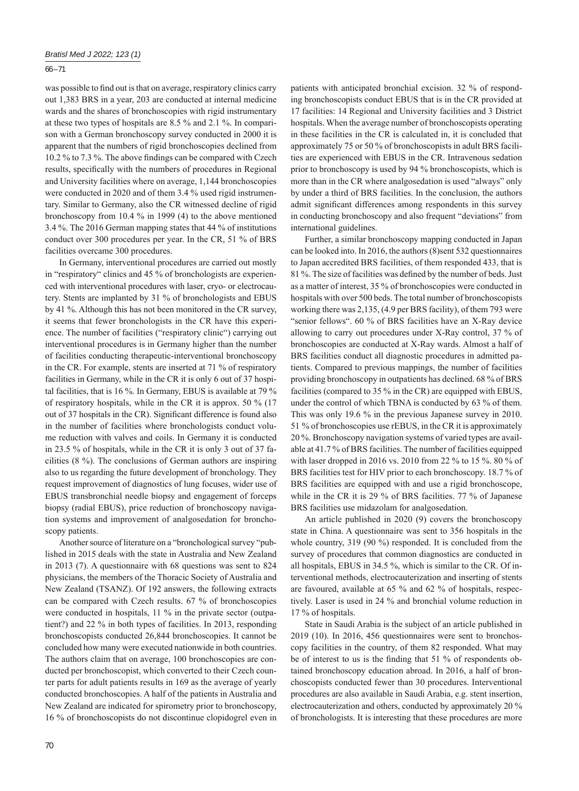## $66 - 71$

was possible to find out is that on average, respiratory clinics carry out 1,383 BRS in a year, 203 are conducted at internal medicine wards and the shares of bronchoscopies with rigid instrumentary at these two types of hospitals are 8.5 % and 2.1 %. In comparison with a German bronchoscopy survey conducted in 2000 it is apparent that the numbers of rigid bronchoscopies declined from 10.2 % to 7.3 %. The above findings can be compared with Czech results, specifically with the numbers of procedures in Regional and University facilities where on average, 1,144 bronchoscopies were conducted in 2020 and of them 3.4 % used rigid instrumentary. Similar to Germany, also the CR witnessed decline of rigid bronchoscopy from 10.4 % in 1999 (4) to the above mentioned 3.4 %. The 2016 German mapping states that 44 % of institutions conduct over 300 procedures per year. In the CR, 51 % of BRS facilities overcame 300 procedures.

In Germany, interventional procedures are carried out mostly in "respiratory" clinics and 45 % of bronchologists are experienced with interventional procedures with laser, cryo- or electrocautery. Stents are implanted by 31 % of bronchologists and EBUS by 41 %. Although this has not been monitored in the CR survey, it seems that fewer bronchologists in the CR have this experience. The number of facilities ("respiratory clinic") carrying out interventional procedures is in Germany higher than the number of facilities conducting therapeutic-interventional bronchoscopy in the CR. For example, stents are inserted at 71 % of respiratory facilities in Germany, while in the CR it is only 6 out of 37 hospital facilities, that is 16 %. In Germany, EBUS is available at 79 % of respiratory hospitals, while in the CR it is approx. 50 % (17 out of 37 hospitals in the CR). Significant difference is found also in the number of facilities where bronchologists conduct volume reduction with valves and coils. In Germany it is conducted in 23.5 % of hospitals, while in the CR it is only 3 out of 37 facilities (8 %). The conclusions of German authors are inspiring also to us regarding the future development of bronchology. They request improvement of diagnostics of lung focuses, wider use of EBUS transbronchial needle biopsy and engagement of forceps biopsy (radial EBUS), price reduction of bronchoscopy navigation systems and improvement of analgosedation for bronchoscopy patients.

Another source of literature on a "bronchological survey "published in 2015 deals with the state in Australia and New Zealand in 2013 (7). A questionnaire with 68 questions was sent to 824 physicians, the members of the Thoracic Society of Australia and New Zealand (TSANZ). Of 192 answers, the following extracts can be compared with Czech results. 67 % of bronchoscopies were conducted in hospitals, 11 % in the private sector (outpatient?) and 22 % in both types of facilities. In 2013, responding bronchoscopists conducted 26,844 bronchoscopies. It cannot be concluded how many were executed nationwide in both countries. The authors claim that on average, 100 bronchoscopies are conducted per bronchoscopist, which converted to their Czech counter parts for adult patients results in 169 as the average of yearly conducted bronchoscopies. A half of the patients in Australia and New Zealand are indicated for spirometry prior to bronchoscopy, 16 % of bronchoscopists do not discontinue clopidogrel even in

patients with anticipated bronchial excision. 32 % of responding bronchoscopists conduct EBUS that is in the CR provided at 17 facilities: 14 Regional and University facilities and 3 District hospitals. When the average number of bronchoscopists operating in these facilities in the CR is calculated in, it is concluded that approximately 75 or 50 % of bronchoscopists in adult BRS facilities are experienced with EBUS in the CR. Intravenous sedation prior to bronchoscopy is used by 94 % bronchoscopists, which is more than in the CR where analgosedation is used "always" only by under a third of BRS facilities. In the conclusion, the authors admit significant differences among respondents in this survey in conducting bronchoscopy and also frequent "deviations" from international guidelines.

Further, a similar bronchoscopy mapping conducted in Japan can be looked into. In 2016, the authors (8)sent 532 questionnaires to Japan accredited BRS facilities, of them responded 433, that is 81 %. The size of facilities was defined by the number of beds. Just as a matter of interest, 35 % of bronchoscopies were conducted in hospitals with over 500 beds. The total number of bronchoscopists working there was 2,135, (4.9 per BRS facility), of them 793 were "senior fellows". 60 % of BRS facilities have an X-Ray device allowing to carry out procedures under X-Ray control, 37 % of bronchoscopies are conducted at X-Ray wards. Almost a half of BRS facilities conduct all diagnostic procedures in admitted patients. Compared to previous mappings, the number of facilities providing bronchoscopy in outpatients has declined. 68 % of BRS facilities (compared to 35 % in the CR) are equipped with EBUS, under the control of which TBNA is conducted by 63 % of them. This was only 19.6 % in the previous Japanese survey in 2010. 51 % of bronchoscopies use rEBUS, in the CR it is approximately 20 %. Bronchoscopy navigation systems of varied types are available at 41.7 % of BRS facilities. The number of facilities equipped with laser dropped in 2016 vs. 2010 from 22 % to 15 %. 80 % of BRS facilities test for HIV prior to each bronchoscopy. 18.7 % of BRS facilities are equipped with and use a rigid bronchoscope, while in the CR it is 29 % of BRS facilities. 77 % of Japanese BRS facilities use midazolam for analgosedation.

An article published in 2020 (9) covers the bronchoscopy state in China. A questionnaire was sent to 356 hospitals in the whole country, 319 (90 %) responded. It is concluded from the survey of procedures that common diagnostics are conducted in all hospitals, EBUS in 34.5 %, which is similar to the CR. Of interventional methods, electrocauterization and inserting of stents are favoured, available at 65 % and 62 % of hospitals, respectively. Laser is used in 24 % and bronchial volume reduction in 17 % of hospitals.

State in Saudi Arabia is the subject of an article published in 2019 (10). In 2016, 456 questionnaires were sent to bronchoscopy facilities in the country, of them 82 responded. What may be of interest to us is the finding that  $51\%$  of respondents obtained bronchoscopy education abroad. In 2016, a half of bronchoscopists conducted fewer than 30 procedures. Interventional procedures are also available in Saudi Arabia, e.g. stent insertion, electrocauterization and others, conducted by approximately 20 % of bronchologists. It is interesting that these procedures are more